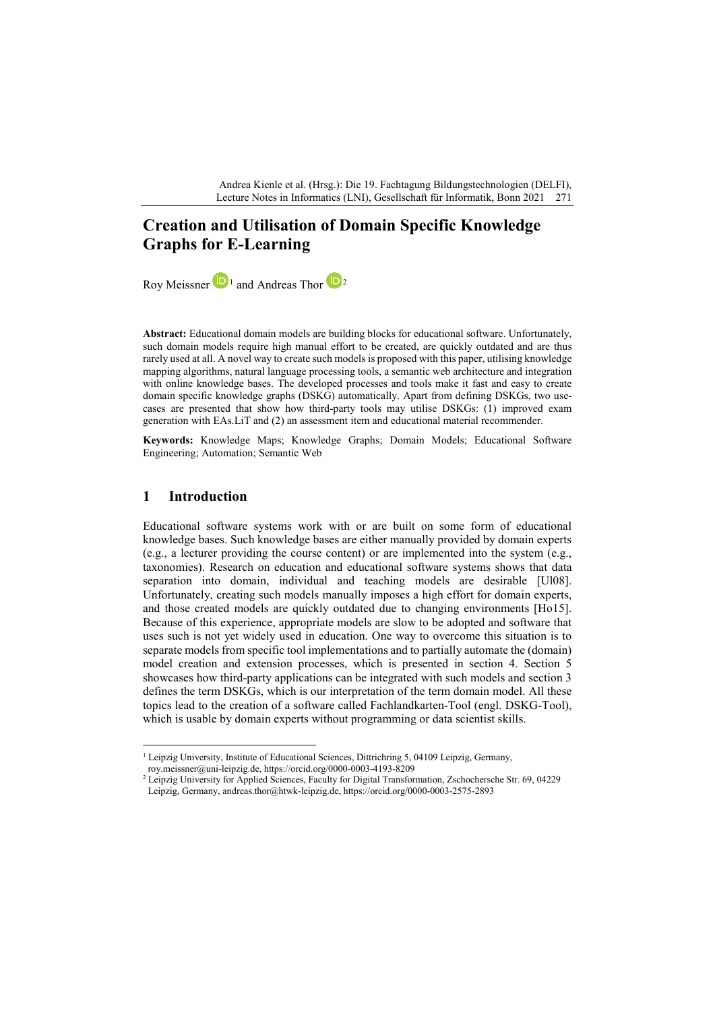Andrea Kienle et al. (Hrsg.): Die 19. Fachtagung Bildungstechnologien (DELFI), Lecture Notes in Informatics (LNI), Gesellschaft für Informatik, Bonn 2021 271

# **Creation and Utilisation of Domain Specific Knowledge Graphs for E-Learning**

Roy Meissner  $\mathbf{D}_1$  $\mathbf{D}_1$  and Andreas Thor  $\mathbf{D}_2$  $\mathbf{D}_2$ 

**Abstract:** Educational domain models are building blocks for educational software. Unfortunately, such domain models require high manual effort to be created, are quickly outdated and are thus rarely used at all. A novel way to create such models is proposed with this paper, utilising knowledge mapping algorithms, natural language processing tools, a semantic web architecture and integration with online knowledge bases. The developed processes and tools make it fast and easy to create domain specific knowledge graphs (DSKG) automatically. Apart from defining DSKGs, two usecases are presented that show how third-party tools may utilise DSKGs: (1) improved exam generation with EAs.LiT and (2) an assessment item and educational material recommender.

**Keywords:** Knowledge Maps; Knowledge Graphs; Domain Models; Educational Software Engineering; Automation; Semantic Web

### **1 Introduction**

Educational software systems work with or are built on some form of educational knowledge bases. Such knowledge bases are either manually provided by domain experts (e.g., a lecturer providing the course content) or are implemented into the system (e.g., taxonomies). Research on education and educational software systems shows that data separation into domain, individual and teaching models are desirable [Ul08]. Unfortunately, creating such models manually imposes a high effort for domain experts, and those created models are quickly outdated due to changing environments [Ho15]. Because of this experience, appropriate models are slow to be adopted and software that uses such is not yet widely used in education. One way to overcome this situation is to separate models from specific tool implementations and to partially automate the (domain) model creation and extension processes, which is presented in section 4. Section 5 showcases how third-party applications can be integrated with such models and section 3 defines the term DSKGs, which is our interpretation of the term domain model. All these topics lead to the creation of a software called Fachlandkarten-Tool (engl. DSKG-Tool), which is usable by domain experts without programming or data scientist skills.

<span id="page-0-0"></span><sup>&</sup>lt;sup>1</sup> Leipzig University, Institute of Educational Sciences, Dittrichring 5, 04109 Leipzig, Germany, roy.meissner@uni-leipzig.de, https://orcid.org/0000-0003-4193-8209

<span id="page-0-1"></span><sup>&</sup>lt;sup>2</sup> Leipzig University for Applied Sciences, Faculty for Digital Transformation, Zschochersche Str. 69, 04229 Leipzig, Germany, andreas.thor@htwk-leipzig.de, https://orcid.org/0000-0003-2575-2893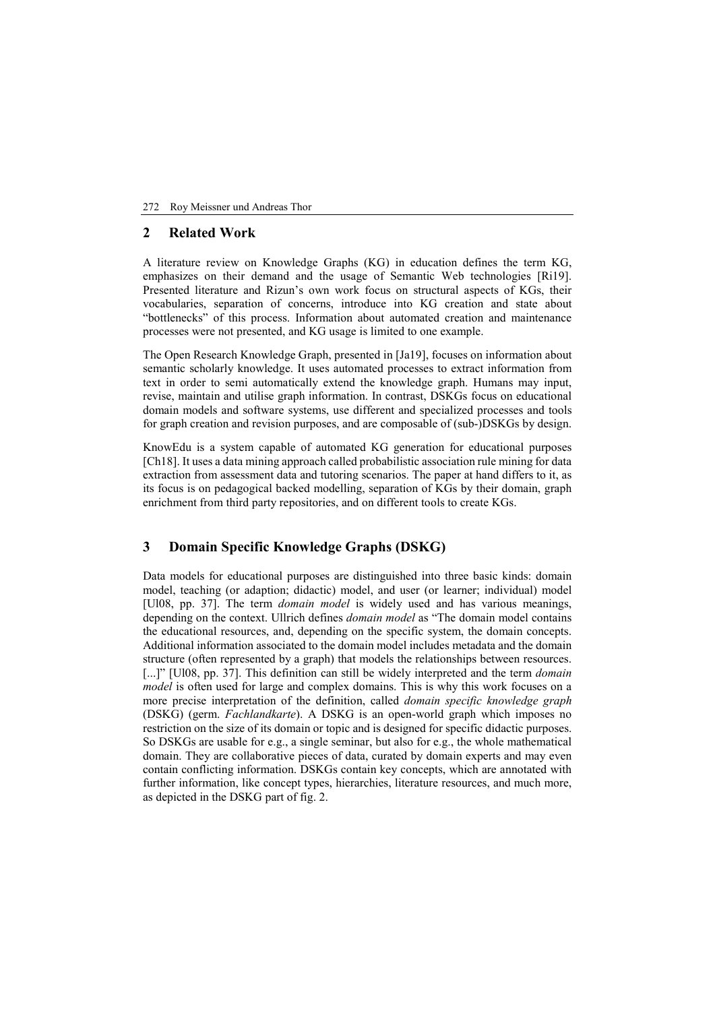#### 272 Roy Meissner und Andreas Thor

### **2 Related Work**

A literature review on Knowledge Graphs (KG) in education defines the term KG, emphasizes on their demand and the usage of Semantic Web technologies [Ri19]. Presented literature and Rizun's own work focus on structural aspects of KGs, their vocabularies, separation of concerns, introduce into KG creation and state about "bottlenecks" of this process. Information about automated creation and maintenance processes were not presented, and KG usage is limited to one example.

The Open Research Knowledge Graph, presented in [Ja19], focuses on information about semantic scholarly knowledge. It uses automated processes to extract information from text in order to semi automatically extend the knowledge graph. Humans may input, revise, maintain and utilise graph information. In contrast, DSKGs focus on educational domain models and software systems, use different and specialized processes and tools for graph creation and revision purposes, and are composable of (sub-)DSKGs by design.

KnowEdu is a system capable of automated KG generation for educational purposes [Ch18]. It uses a data mining approach called probabilistic association rule mining for data extraction from assessment data and tutoring scenarios. The paper at hand differs to it, as its focus is on pedagogical backed modelling, separation of KGs by their domain, graph enrichment from third party repositories, and on different tools to create KGs.

# **3 Domain Specific Knowledge Graphs (DSKG)**

Data models for educational purposes are distinguished into three basic kinds: domain model, teaching (or adaption; didactic) model, and user (or learner; individual) model [Ul08, pp. 37]. The term *domain model* is widely used and has various meanings, depending on the context. Ullrich defines *domain model* as "The domain model contains the educational resources, and, depending on the specific system, the domain concepts. Additional information associated to the domain model includes metadata and the domain structure (often represented by a graph) that models the relationships between resources. [...]" [Ul08, pp. 37]. This definition can still be widely interpreted and the term *domain model* is often used for large and complex domains. This is why this work focuses on a more precise interpretation of the definition, called *domain specific knowledge graph* (DSKG) (germ. *Fachlandkarte*). A DSKG is an open-world graph which imposes no restriction on the size of its domain or topic and is designed for specific didactic purposes. So DSKGs are usable for e.g., a single seminar, but also for e.g., the whole mathematical domain. They are collaborative pieces of data, curated by domain experts and may even contain conflicting information. DSKGs contain key concepts, which are annotated with further information, like concept types, hierarchies, literature resources, and much more, as depicted in the DSKG part of fig. 2.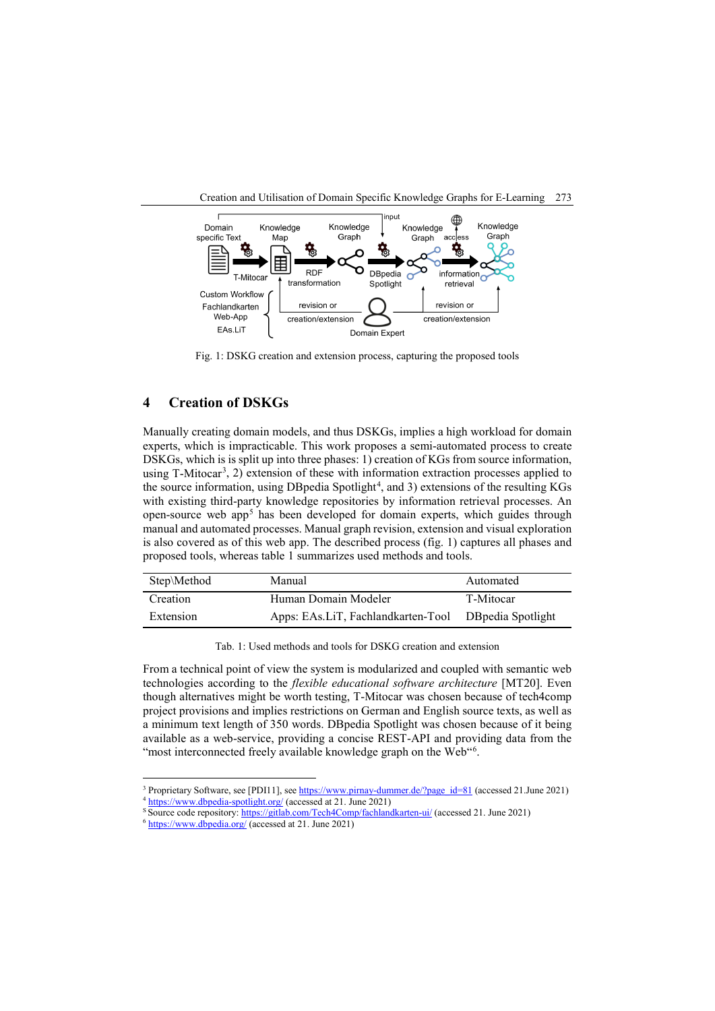

Fig. 1: DSKG creation and extension process, capturing the proposed tools

# **4 Creation of DSKGs**

Manually creating domain models, and thus DSKGs, implies a high workload for domain experts, which is impracticable. This work proposes a semi-automated process to create DSKGs, which is is split up into three phases: 1) creation of KGs from source information, using T-Mitocar<sup>[3](#page-2-0)</sup>, 2) extension of these with information extraction processes applied to the source information, using DBpedia Spotlight<sup>[4](#page-2-1)</sup>, and 3) extensions of the resulting KGs with existing third-party knowledge repositories by information retrieval processes. An open-source web app<sup>[5](#page-2-2)</sup> has been developed for domain experts, which guides through manual and automated processes. Manual graph revision, extension and visual exploration is also covered as of this web app. The described process (fig. 1) captures all phases and proposed tools, whereas table 1 summarizes used methods and tools.

| Step\Method | Manual                                               | Automated |
|-------------|------------------------------------------------------|-----------|
| Creation    | Human Domain Modeler                                 | T-Mitocar |
| Extension   | Apps: EAs.LiT, Fachlandkarten-Tool DBpedia Spotlight |           |

Tab. 1: Used methods and tools for DSKG creation and extension

From a technical point of view the system is modularized and coupled with semantic web technologies according to the *flexible educational software architecture* [MT20]. Even though alternatives might be worth testing, T-Mitocar was chosen because of tech4comp project provisions and implies restrictions on German and English source texts, as well as a minimum text length of 350 words. DBpedia Spotlight was chosen because of it being available as a web-service, providing a concise REST-API and providing data from the "most interconnected freely available knowledge graph on the Web"<sup>[6](#page-2-3)</sup>.

<span id="page-2-0"></span><sup>&</sup>lt;sup>3</sup> Proprietary Software, see [PDI11], se[e https://www.pirnay-dummer.de/?page\\_id=81](https://www.pirnay-dummer.de/?page_id=81) (accessed 21.June 2021)

<span id="page-2-1"></span><https://www.dbpedia-spotlight.org/> (accessed at 21. June 2021)

S Source code repository[: https://gitlab.com/Tech4Comp/fachlandkarten-ui/](https://gitlab.com/Tech4Comp/fachlandkarten-ui/) (accessed 21. June 2021)

<span id="page-2-3"></span><span id="page-2-2"></span><sup>&</sup>lt;sup>6</sup> <https://www.dbpedia.org/> (accessed at 21. June 2021)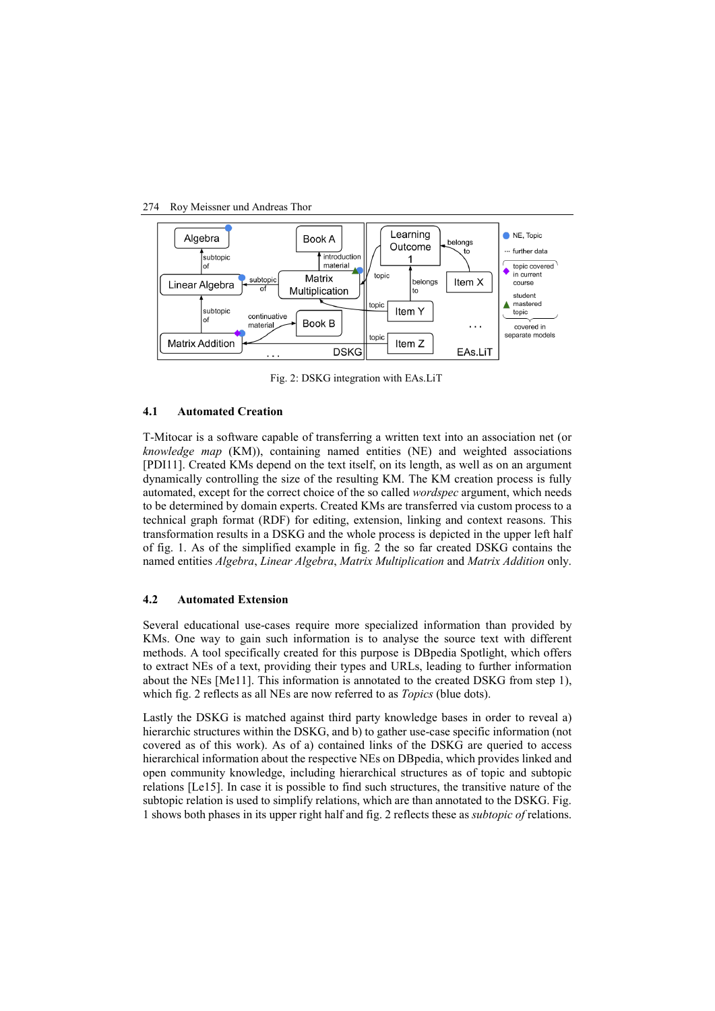#### 274 Roy Meissner und Andreas Thor



Fig. 2: DSKG integration with EAs.LiT

#### **4.1 Automated Creation**

T-Mitocar is a software capable of transferring a written text into an association net (or *knowledge map* (KM)), containing named entities (NE) and weighted associations [PDI11]. Created KMs depend on the text itself, on its length, as well as on an argument dynamically controlling the size of the resulting KM. The KM creation process is fully automated, except for the correct choice of the so called *wordspec* argument, which needs to be determined by domain experts. Created KMs are transferred via custom process to a technical graph format (RDF) for editing, extension, linking and context reasons. This transformation results in a DSKG and the whole process is depicted in the upper left half of fig. 1. As of the simplified example in fig. 2 the so far created DSKG contains the named entities *Algebra*, *Linear Algebra*, *Matrix Multiplication* and *Matrix Addition* only.

### **4.2 Automated Extension**

Several educational use-cases require more specialized information than provided by KMs. One way to gain such information is to analyse the source text with different methods. A tool specifically created for this purpose is DBpedia Spotlight, which offers to extract NEs of a text, providing their types and URLs, leading to further information about the NEs [Me11]. This information is annotated to the created DSKG from step 1), which fig. 2 reflects as all NEs are now referred to as *Topics* (blue dots).

Lastly the DSKG is matched against third party knowledge bases in order to reveal a) hierarchic structures within the DSKG, and b) to gather use-case specific information (not covered as of this work). As of a) contained links of the DSKG are queried to access hierarchical information about the respective NEs on DBpedia, which provides linked and open community knowledge, including hierarchical structures as of topic and subtopic relations [Le15]. In case it is possible to find such structures, the transitive nature of the subtopic relation is used to simplify relations, which are than annotated to the DSKG. Fig. 1 shows both phases in its upper right half and fig. 2 reflects these as *subtopic of* relations.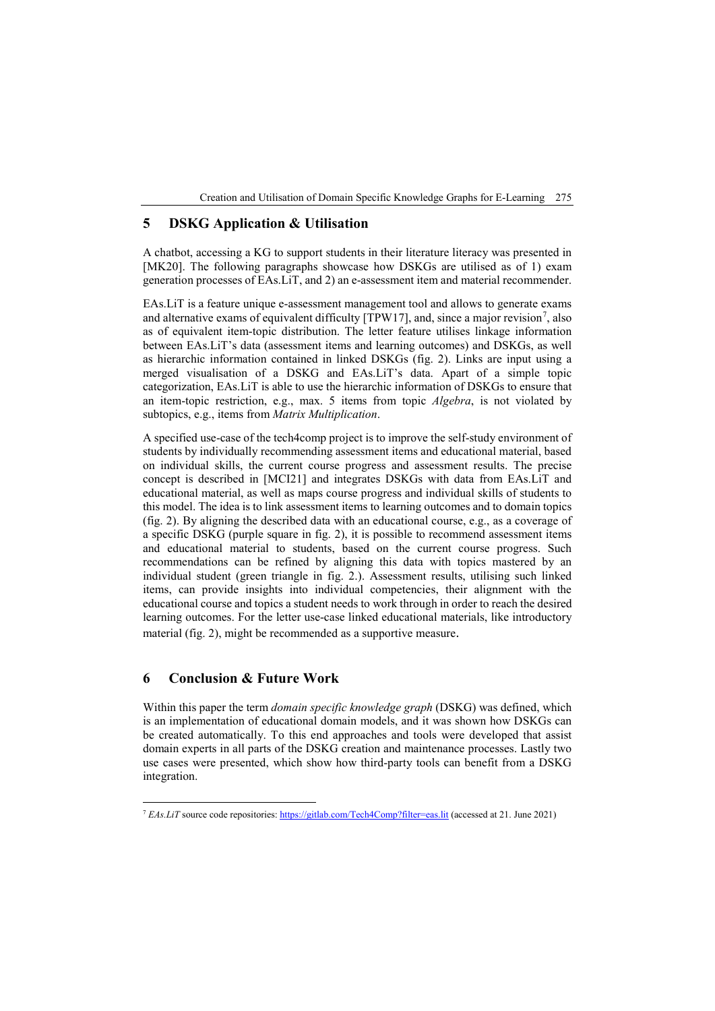Creation and Utilisation of Domain Specific Knowledge Graphs for E-Learning 275

# **5 DSKG Application & Utilisation**

A chatbot, accessing a KG to support students in their literature literacy was presented in [MK20]. The following paragraphs showcase how DSKGs are utilised as of 1) exam generation processes of EAs.LiT, and 2) an e-assessment item and material recommender.

EAs.LiT is a feature unique e-assessment management tool and allows to generate exams and alternative exams of equivalent difficulty [TPW1[7](#page-4-0)], and, since a major revision<sup>7</sup>, also as of equivalent item-topic distribution. The letter feature utilises linkage information between EAs.LiT's data (assessment items and learning outcomes) and DSKGs, as well as hierarchic information contained in linked DSKGs (fig. 2). Links are input using a merged visualisation of a DSKG and EAs.LiT's data. Apart of a simple topic categorization, EAs.LiT is able to use the hierarchic information of DSKGs to ensure that an item-topic restriction, e.g., max. 5 items from topic *Algebra*, is not violated by subtopics, e.g., items from *Matrix Multiplication*.

A specified use-case of the tech4comp project is to improve the self-study environment of students by individually recommending assessment items and educational material, based on individual skills, the current course progress and assessment results. The precise concept is described in [MCI21] and integrates DSKGs with data from EAs.LiT and educational material, as well as maps course progress and individual skills of students to this model. The idea is to link assessment items to learning outcomes and to domain topics (fig. 2). By aligning the described data with an educational course, e.g., as a coverage of a specific DSKG (purple square in fig. 2), it is possible to recommend assessment items and educational material to students, based on the current course progress. Such recommendations can be refined by aligning this data with topics mastered by an individual student (green triangle in fig. 2.). Assessment results, utilising such linked items, can provide insights into individual competencies, their alignment with the educational course and topics a student needs to work through in order to reach the desired learning outcomes. For the letter use-case linked educational materials, like introductory material (fig. 2), might be recommended as a supportive measure.

# **6 Conclusion & Future Work**

Within this paper the term *domain specific knowledge graph* (DSKG) was defined, which is an implementation of educational domain models, and it was shown how DSKGs can be created automatically. To this end approaches and tools were developed that assist domain experts in all parts of the DSKG creation and maintenance processes. Lastly two use cases were presented, which show how third-party tools can benefit from a DSKG integration.

<span id="page-4-0"></span><sup>&</sup>lt;sup>7</sup> *EAs.LiT* source code repositories[: https://gitlab.com/Tech4Comp?filter=eas.lit](https://gitlab.com/Tech4Comp?filter=eas.lit) (accessed at 21. June 2021)